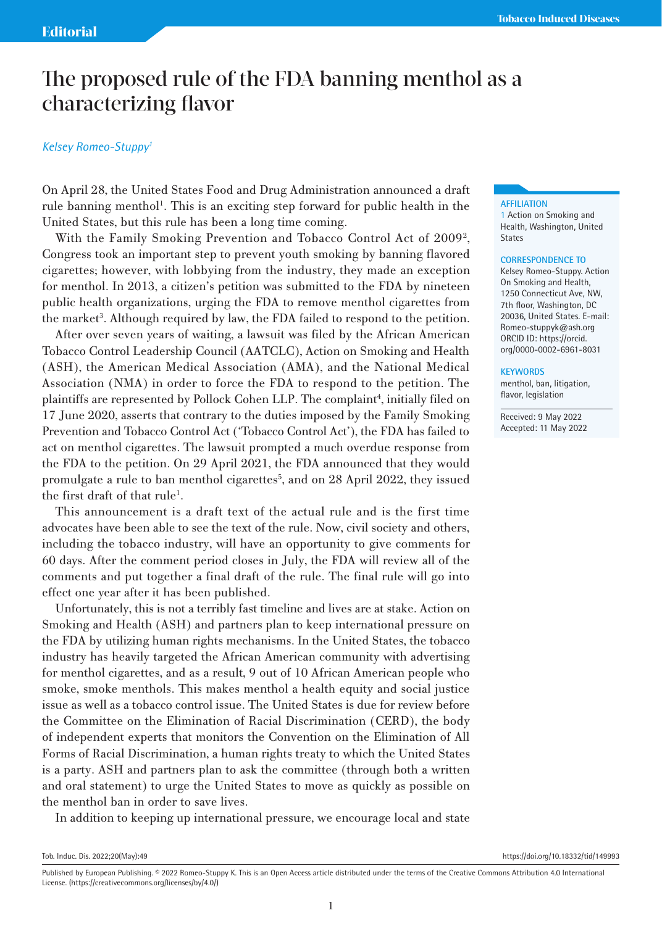# The proposed rule of the FDA banning menthol as a characterizing flavor

## *Kelsey Romeo-Stuppy1*

On April 28, the United States Food and Drug Administration announced a draft rule banning menthol<sup>1</sup>. This is an exciting step forward for public health in the United States, but this rule has been a long time coming.

With the Family Smoking Prevention and Tobacco Control Act of 2009<sup>2</sup>, Congress took an important step to prevent youth smoking by banning flavored cigarettes; however, with lobbying from the industry, they made an exception for menthol. In 2013, a citizen's petition was submitted to the FDA by nineteen public health organizations, urging the FDA to remove menthol cigarettes from the market<sup>3</sup>. Although required by law, the FDA failed to respond to the petition.

After over seven years of waiting, a lawsuit was filed by the African American Tobacco Control Leadership Council (AATCLC), Action on Smoking and Health (ASH), the American Medical Association (AMA), and the National Medical Association (NMA) in order to force the FDA to respond to the petition. The plaintiffs are represented by Pollock Cohen LLP. The complaint<sup>4</sup>, initially filed on 17 June 2020, asserts that contrary to the duties imposed by the Family Smoking Prevention and Tobacco Control Act ('Tobacco Control Act'), the FDA has failed to act on menthol cigarettes. The lawsuit prompted a much overdue response from the FDA to the petition. On 29 April 2021, the FDA announced that they would promulgate a rule to ban menthol cigarettes<sup>5</sup>, and on 28 April 2022, they issued the first draft of that rule<sup>1</sup>.

This announcement is a draft text of the actual rule and is the first time advocates have been able to see the text of the rule. Now, civil society and others, including the tobacco industry, will have an opportunity to give comments for 60 days. After the comment period closes in July, the FDA will review all of the comments and put together a final draft of the rule. The final rule will go into effect one year after it has been published.

Unfortunately, this is not a terribly fast timeline and lives are at stake. Action on Smoking and Health (ASH) and partners plan to keep international pressure on the FDA by utilizing human rights mechanisms. In the United States, the tobacco industry has heavily targeted the African American community with advertising for menthol cigarettes, and as a result, 9 out of 10 African American people who smoke, smoke menthols. This makes menthol a health equity and social justice issue as well as a tobacco control issue. The United States is due for review before the Committee on the Elimination of Racial Discrimination (CERD), the body of independent experts that monitors the Convention on the Elimination of All Forms of Racial Discrimination, a human rights treaty to which the United States is a party. ASH and partners plan to ask the committee (through both a written and oral statement) to urge the United States to move as quickly as possible on the menthol ban in order to save lives.

In addition to keeping up international pressure, we encourage local and state

Tob. Induc. Dis. 2022;20(May):49 https://doi.org/10.18332/tid/149993

### **AFFILIATION**

1 Action on Smoking and Health, Washington, United **States** 

#### **CORRESPONDENCE TO**

Kelsey Romeo-Stuppy. Action On Smoking and Health, 1250 Connecticut Ave, NW, 7th floor, Washington, DC 20036, United States. E-mail: Romeo-stuppyk@ash.org ORCID ID: https://orcid. org/0000-0002-6961-8031

#### **KEYWORDS**

menthol, ban, litigation, flavor, legislation

Received: 9 May 2022 Accepted: 11 May 2022

Published by European Publishing. © 2022 Romeo-Stuppy K. This is an Open Access article distributed under the terms of the Creative Commons Attribution 4.0 International License. (https://creativecommons.org/licenses/by/4.0/)